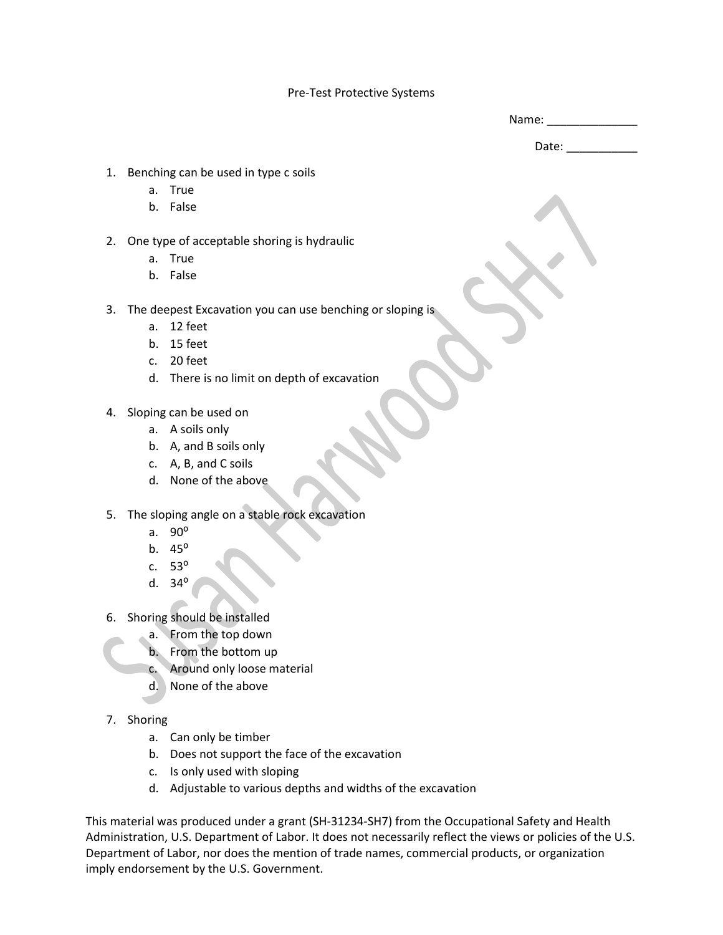## Pre-Test Protective Systems

| Name: |  |  |
|-------|--|--|
|       |  |  |

Date:  $\_$ 

- 1. Benching can be used in type c soils
	- a. True
	- b. False
- 2. One type of acceptable shoring is hydraulic
	- a. True
	- b. False
- 3. The deepest Excavation you can use benching or sloping is
	- a. 12 feet
	- b. 15 feet
	- c. 20 feet
	- d. There is no limit on depth of excavation
- 4. Sloping can be used on
	- a. A soils only
	- b. A, and B soils only
	- c. A, B, and C soils
	- d. None of the above
- 5. The sloping angle on a stable rock excavation
	- a.  $90^\circ$
	- b.  $45^{\circ}$
	- c.  $53^{\circ}$
	- d.  $34^\circ$
- 6. Shoring should be installed
	- a. From the top down
	- b. From the bottom up
	- c. Around only loose material
	- d. None of the above
- 7. Shoring
	- a. Can only be timber
	- b. Does not support the face of the excavation
	- c. Is only used with sloping
	- d. Adjustable to various depths and widths of the excavation

This material was produced under a grant (SH-31234-SH7) from the Occupational Safety and Health Administration, U.S. Department of Labor. It does not necessarily reflect the views or policies of the U.S. Department of Labor, nor does the mention of trade names, commercial products, or organization imply endorsement by the U.S. Government.